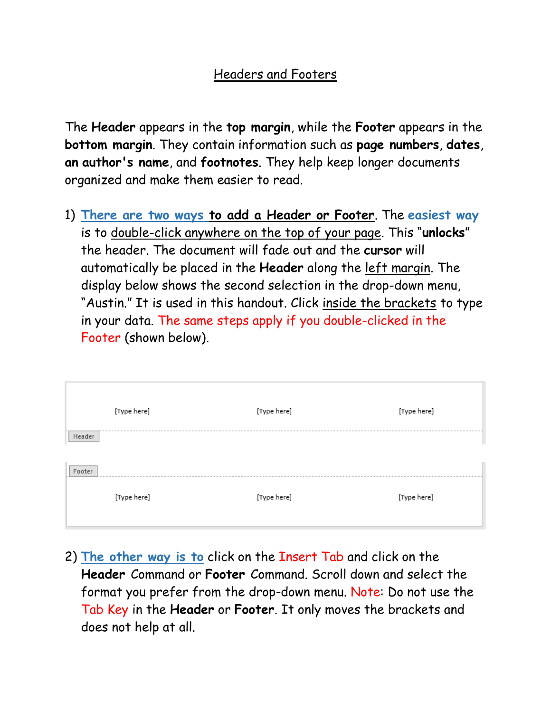### Headers and Footers

The **Header** appears in the **top margin**, while the **Footer** appears in the **bottom margin**. They contain information such as **page numbers**, **dates**, **an author's name**, and **footnotes**. They help keep longer documents organized and make them easier to read.

1) **There are two ways to add a Header or Footer**. The **easiest way** is to double-click anywhere on the top of your page. This "**unlocks**" the header. The document will fade out and the **cursor** will automatically be placed in the **Header** along the left margin. The display below shows the second selection in the drop-down menu, "Austin." It is used in this handout. Click inside the brackets to type in your data. The same steps apply if you double-clicked in the Footer (shown below).

|        | [Type here] | [Type here] | [Type here] |
|--------|-------------|-------------|-------------|
| Header |             |             |             |
| Footer |             |             |             |
|        | [Type here] | [Type here] | [Type here] |

2) **The other way is to** click on the Insert Tab and click on the **Header** Command or **Footer** Command. Scroll down and select the format you prefer from the drop-down menu. Note: Do not use the Tab Key in the **Header** or **Footer**. It only moves the brackets and does not help at all.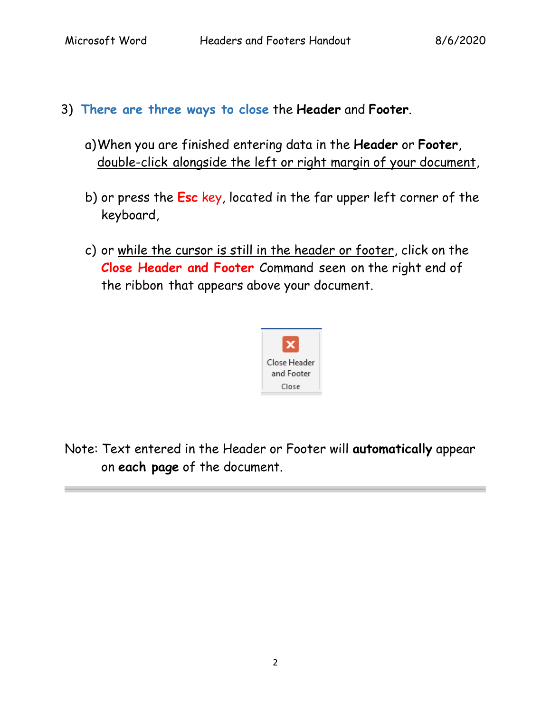- 3) **There are three ways to close** the **Header** and **Footer**.
	- a)When you are finished entering data in the **Header** or **Footer**, double-click alongside the left or right margin of your document,
	- b) or press the **Esc** key, located in the far upper left corner of the keyboard,
	- c) or while the cursor is still in the header or footer, click on the **Close Header and Footer** Command seen on the right end of the ribbon that appears above your document.



Note: Text entered in the Header or Footer will **automatically** appear on **each page** of the document.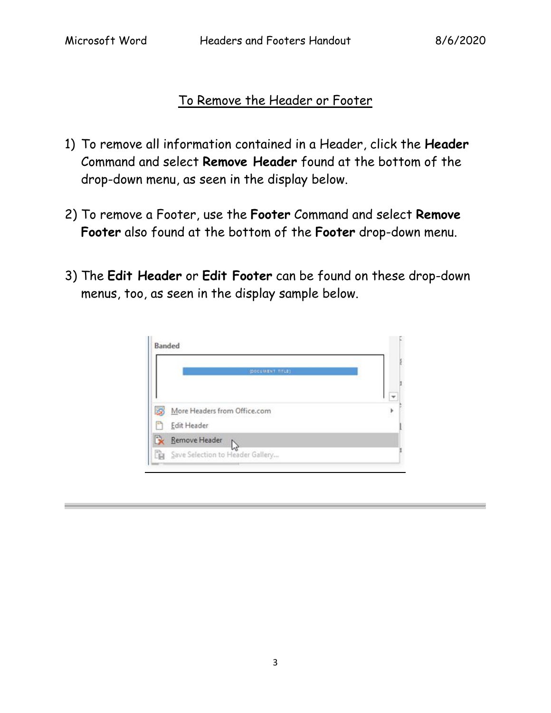## To Remove the Header or Footer

- 1) To remove all information contained in a Header, click the **Header** Command and select **Remove Header** found at the bottom of the drop-down menu, as seen in the display below.
- 2) To remove a Footer, use the **Footer** Command and select **Remove Footer** also found at the bottom of the **Footer** drop-down menu.
- 3) The **Edit Header** or **Edit Footer** can be found on these drop-down menus, too, as seen in the display sample below.

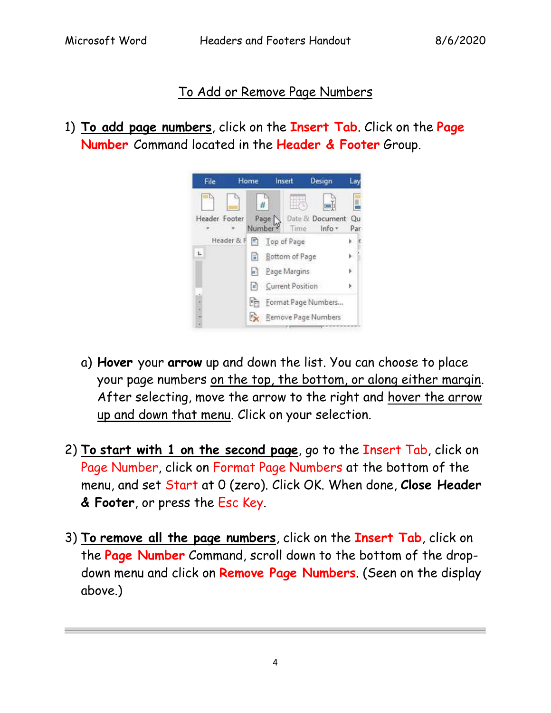### To Add or Remove Page Numbers

1) **To add page numbers**, click on the **Insert Tab**. Click on the **Page Number** Command located in the **Header & Footer** Group.



- a) **Hover** your **arrow** up and down the list. You can choose to place your page numbers on the top, the bottom, or along either margin. After selecting, move the arrow to the right and hover the arrow up and down that menu. Click on your selection.
- 2) **To start with 1 on the second page**, go to the Insert Tab, click on Page Number, click on Format Page Numbers at the bottom of the menu, and set Start at 0 (zero). Click OK. When done, **Close Header & Footer**, or press the Esc Key.
- 3) **To remove all the page numbers**, click on the **Insert Tab**, click on the **Page Number** Command, scroll down to the bottom of the dropdown menu and click on **Remove Page Numbers**. (Seen on the display above.)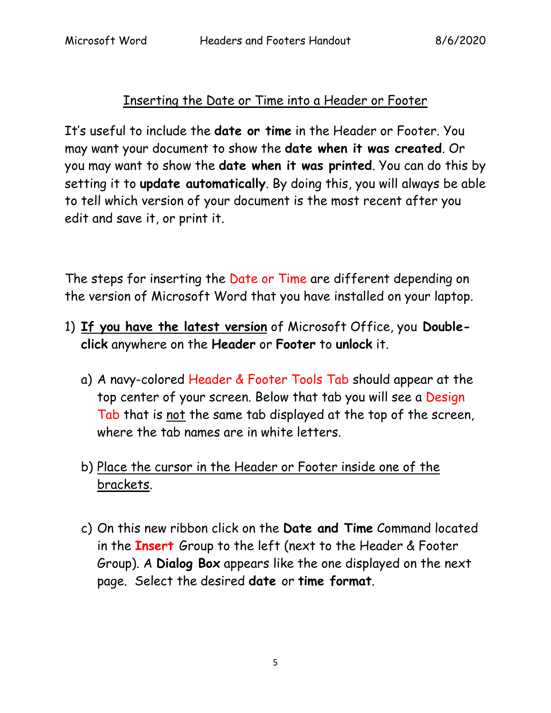## Inserting the Date or Time into a Header or Footer

It's useful to include the **date or time** in the Header or Footer. You may want your document to show the **date when it was created**. Or you may want to show the **date when it was printed**. You can do this by setting it to **update automatically**. By doing this, you will always be able to tell which version of your document is the most recent after you edit and save it, or print it.

The steps for inserting the Date or Time are different depending on the version of Microsoft Word that you have installed on your laptop.

- 1) **If you have the latest version** of Microsoft Office, you **Doubleclick** anywhere on the **Header** or **Footer** to **unlock** it.
	- a) A navy-colored Header & Footer Tools Tab should appear at the top center of your screen. Below that tab you will see a Design Tab that is not the same tab displayed at the top of the screen, where the tab names are in white letters.
	- b) Place the cursor in the Header or Footer inside one of the brackets.
	- c) On this new ribbon click on the **Date and Time** Command located in the **Insert** Group to the left (next to the Header & Footer Group). A **Dialog Box** appears like the one displayed on the next page. Select the desired **date** or **time format**.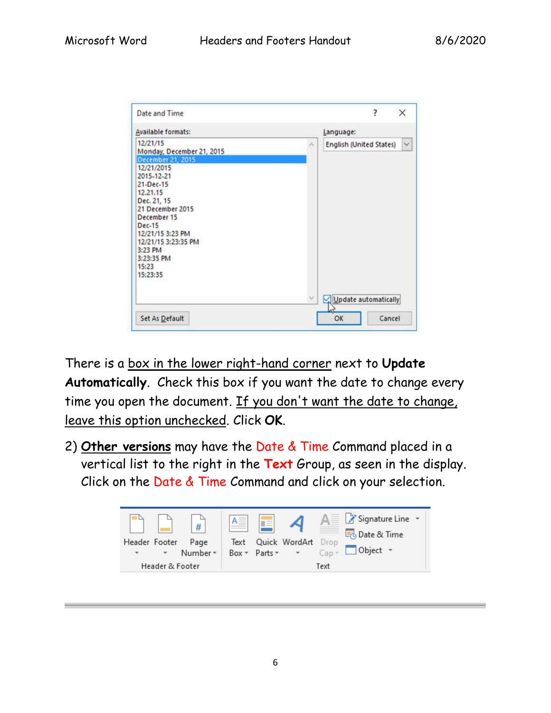| Date and Time                                                                                                                                                                            |           | ?                    | X                       |        |
|------------------------------------------------------------------------------------------------------------------------------------------------------------------------------------------|-----------|----------------------|-------------------------|--------|
| Available formats:                                                                                                                                                                       | Language: |                      |                         |        |
| 12/21/15<br>Monday, December 21, 2015<br>December 21, 2015<br>12/21/2015                                                                                                                 | ×         |                      | English (United States) | $\vee$ |
| 2015-12-21<br>21-Dec-15<br>12.21.15<br>Dec. 21, 15<br>21 December 2015<br>December 15<br>Dec-15<br>12/21/15 3:23 PM<br>12/21/15 3:23:35 PM<br>3:23 PM<br>3:23:35 PM<br>15:23<br>15:23:35 |           |                      |                         |        |
|                                                                                                                                                                                          |           | Update automatically |                         |        |
| Set As Default                                                                                                                                                                           |           | OK                   |                         | Cancel |

There is a box in the lower right-hand corner next to **Update Automatically**. Check this box if you want the date to change every time you open the document. If you don't want the date to change, leave this option unchecked. Click **OK**.

2) **Other versions** may have the Date & Time Command placed in a vertical list to the right in the **Text** Group, as seen in the display. Click on the Date & Time Command and click on your selection.